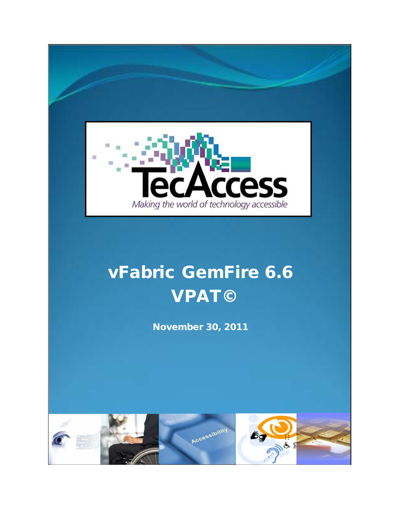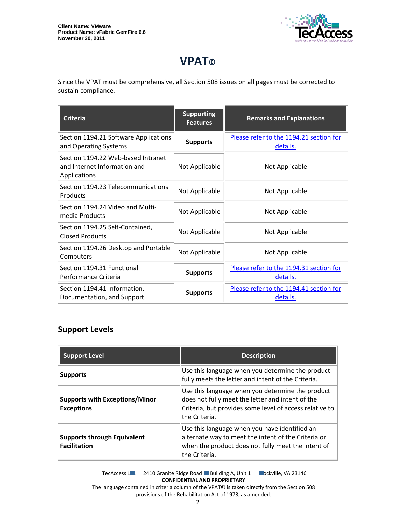

# **VPAT©**

Since the VPAT must be comprehensive, all Section 508 issues on all pages must be corrected to sustain compliance.

| <b>Criteria</b>                                                                    | <b>Supporting</b><br><b>Features</b> | <b>Remarks and Explanations</b>                     |
|------------------------------------------------------------------------------------|--------------------------------------|-----------------------------------------------------|
| Section 1194.21 Software Applications<br>and Operating Systems                     | <b>Supports</b>                      | Please refer to the 1194.21 section for<br>details. |
| Section 1194.22 Web-based Intranet<br>and Internet Information and<br>Applications | Not Applicable                       | Not Applicable                                      |
| Section 1194.23 Telecommunications<br>Products                                     | Not Applicable                       | Not Applicable                                      |
| Section 1194.24 Video and Multi-<br>media Products                                 | Not Applicable                       | Not Applicable                                      |
| Section 1194.25 Self-Contained,<br><b>Closed Products</b>                          | Not Applicable                       | Not Applicable                                      |
| Section 1194.26 Desktop and Portable<br>Computers                                  | Not Applicable                       | Not Applicable                                      |
| Section 1194.31 Functional<br>Performance Criteria                                 | <b>Supports</b>                      | Please refer to the 1194.31 section for<br>details. |
| Section 1194.41 Information,<br>Documentation, and Support                         | <b>Supports</b>                      | Please refer to the 1194.41 section for<br>details. |

## **Support Levels**

| <b>Support Level</b>                                       | <b>Description</b>                                                                                                                                                               |
|------------------------------------------------------------|----------------------------------------------------------------------------------------------------------------------------------------------------------------------------------|
| <b>Supports</b>                                            | Use this language when you determine the product<br>fully meets the letter and intent of the Criteria.                                                                           |
| <b>Supports with Exceptions/Minor</b><br><b>Exceptions</b> | Use this language when you determine the product<br>does not fully meet the letter and intent of the<br>Criteria, but provides some level of access relative to<br>the Criteria. |
| <b>Supports through Equivalent</b><br><b>Facilitation</b>  | Use this language when you have identified an<br>alternate way to meet the intent of the Criteria or<br>when the product does not fully meet the intent of<br>the Criteria.      |

TecAccess LLC 2410 Granite Ridge Road Building A, Unit 1 Dickville, VA 23146 **CONFIDENTIAL AND PROPRIETARY** The language contained in criteria column of the VPAT© is taken directly from the Section 508

provisions of the Rehabilitation Act of 1973, as amended.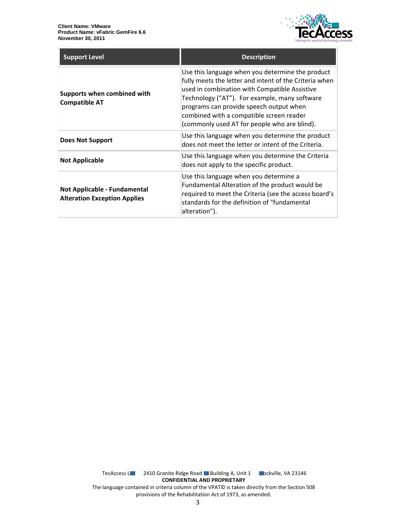

| <b>Support Level</b>                                                | <b>Description</b>                                                                                                                                                                                                                                                                                                                                  |
|---------------------------------------------------------------------|-----------------------------------------------------------------------------------------------------------------------------------------------------------------------------------------------------------------------------------------------------------------------------------------------------------------------------------------------------|
| Supports when combined with<br><b>Compatible AT</b>                 | Use this language when you determine the product<br>fully meets the letter and intent of the Criteria when<br>used in combination with Compatible Assistive<br>Technology ("AT"). For example, many software<br>programs can provide speech output when<br>combined with a compatible screen reader<br>(commonly used AT for people who are blind). |
| Does Not Support                                                    | Use this language when you determine the product<br>does not meet the letter or intent of the Criteria.                                                                                                                                                                                                                                             |
| <b>Not Applicable</b>                                               | Use this language when you determine the Criteria<br>does not apply to the specific product.                                                                                                                                                                                                                                                        |
| Not Applicable - Fundamental<br><b>Alteration Exception Applies</b> | Use this language when you determine a<br>Fundamental Alteration of the product would be<br>required to meet the Criteria (see the access board's<br>standards for the definition of "fundamental<br>alteration").                                                                                                                                  |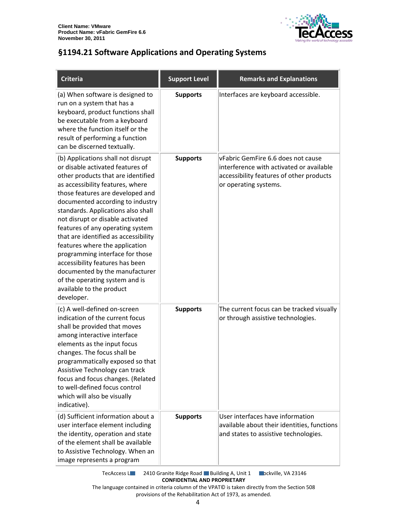

## <span id="page-3-0"></span>**§1194.21 Software Applications and Operating Systems**

| <b>Criteria</b>                                                                                                                                                                                                                                                                                                                                                                                                                                                                                                                                                                                      | <b>Support Level</b> | <b>Remarks and Explanations</b>                                                                                                                     |
|------------------------------------------------------------------------------------------------------------------------------------------------------------------------------------------------------------------------------------------------------------------------------------------------------------------------------------------------------------------------------------------------------------------------------------------------------------------------------------------------------------------------------------------------------------------------------------------------------|----------------------|-----------------------------------------------------------------------------------------------------------------------------------------------------|
| (a) When software is designed to<br>run on a system that has a<br>keyboard, product functions shall<br>be executable from a keyboard<br>where the function itself or the<br>result of performing a function<br>can be discerned textually.                                                                                                                                                                                                                                                                                                                                                           | <b>Supports</b>      | Interfaces are keyboard accessible.                                                                                                                 |
| (b) Applications shall not disrupt<br>or disable activated features of<br>other products that are identified<br>as accessibility features, where<br>those features are developed and<br>documented according to industry<br>standards. Applications also shall<br>not disrupt or disable activated<br>features of any operating system<br>that are identified as accessibility<br>features where the application<br>programming interface for those<br>accessibility features has been<br>documented by the manufacturer<br>of the operating system and is<br>available to the product<br>developer. | <b>Supports</b>      | vFabric GemFire 6.6 does not cause<br>interference with activated or available<br>accessibility features of other products<br>or operating systems. |
| (c) A well-defined on-screen<br>indication of the current focus<br>shall be provided that moves<br>among interactive interface<br>elements as the input focus<br>changes. The focus shall be<br>programmatically exposed so that<br>Assistive Technology can track<br>focus and focus changes. (Related<br>to well-defined focus control<br>which will also be visually<br>indicative).                                                                                                                                                                                                              | <b>Supports</b>      | The current focus can be tracked visually<br>or through assistive technologies.                                                                     |
| (d) Sufficient information about a<br>user interface element including<br>the identity, operation and state<br>of the element shall be available<br>to Assistive Technology. When an<br>image represents a program                                                                                                                                                                                                                                                                                                                                                                                   | <b>Supports</b>      | User interfaces have information<br>available about their identities, functions<br>and states to assistive technologies.                            |

TecAccess L**LC** 2410 Granite Ridge Road Building A, Unit 1 **Rockville, VA 23146 CONFIDENTIAL AND PROPRIETARY**

The language contained in criteria column of the VPAT© is taken directly from the Section 508 provisions of the Rehabilitation Act of 1973, as amended.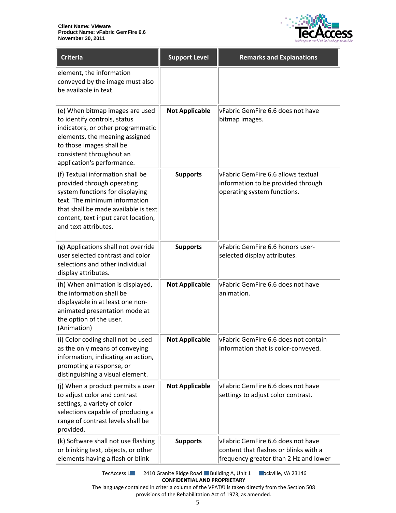

| <b>Criteria</b>                                                                                                                                                                                                                           | <b>Support Level</b>  | <b>Remarks and Explanations</b>                                                                                     |
|-------------------------------------------------------------------------------------------------------------------------------------------------------------------------------------------------------------------------------------------|-----------------------|---------------------------------------------------------------------------------------------------------------------|
| element, the information<br>conveyed by the image must also<br>be available in text.                                                                                                                                                      |                       |                                                                                                                     |
| (e) When bitmap images are used<br>to identify controls, status<br>indicators, or other programmatic<br>elements, the meaning assigned<br>to those images shall be<br>consistent throughout an<br>application's performance.              | <b>Not Applicable</b> | vFabric GemFire 6.6 does not have<br>bitmap images.                                                                 |
| (f) Textual information shall be<br>provided through operating<br>system functions for displaying<br>text. The minimum information<br>that shall be made available is text<br>content, text input caret location,<br>and text attributes. | <b>Supports</b>       | vFabric GemFire 6.6 allows textual<br>information to be provided through<br>operating system functions.             |
| (g) Applications shall not override<br>user selected contrast and color<br>selections and other individual<br>display attributes.                                                                                                         | <b>Supports</b>       | vFabric GemFire 6.6 honors user-<br>selected display attributes.                                                    |
| (h) When animation is displayed,<br>the information shall be<br>displayable in at least one non-<br>animated presentation mode at<br>the option of the user.<br>(Animation)                                                               | <b>Not Applicable</b> | vFabric GemFire 6.6 does not have<br>animation.                                                                     |
| (i) Color coding shall not be used<br>as the only means of conveying<br>information, indicating an action,<br>prompting a response, or<br>distinguishing a visual element.                                                                | <b>Not Applicable</b> | vFabric GemFire 6.6 does not contain<br>information that is color-conveyed.                                         |
| (j) When a product permits a user<br>to adjust color and contrast<br>settings, a variety of color<br>selections capable of producing a<br>range of contrast levels shall be<br>provided.                                                  | <b>Not Applicable</b> | vFabric GemFire 6.6 does not have<br>settings to adjust color contrast.                                             |
| (k) Software shall not use flashing<br>or blinking text, objects, or other<br>elements having a flash or blink                                                                                                                            | <b>Supports</b>       | vFabric GemFire 6.6 does not have<br>content that flashes or blinks with a<br>frequency greater than 2 Hz and lower |

TecAccess L**LC** 2410 Granite Ridge Road Building A, Unit 1 **Rockville, VA 23146 CONFIDENTIAL AND PROPRIETARY**

The language contained in criteria column of the VPAT© is taken directly from the Section 508 provisions of the Rehabilitation Act of 1973, as amended.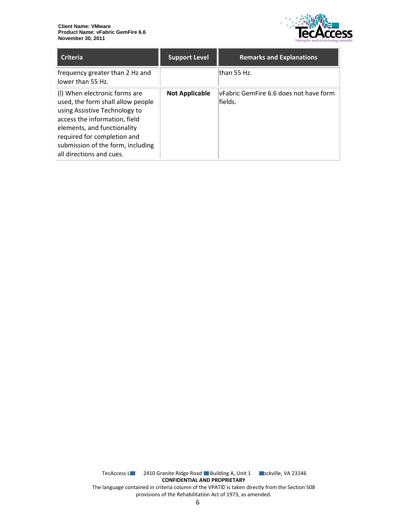

| <b>Criteria</b>                                                                                                                                                                                                                                                     | <b>Support Level</b>  | <b>Remarks and Explanations</b>                    |
|---------------------------------------------------------------------------------------------------------------------------------------------------------------------------------------------------------------------------------------------------------------------|-----------------------|----------------------------------------------------|
| frequency greater than 2 Hz and<br>lower than 55 Hz.                                                                                                                                                                                                                |                       | lthan 55 Hz.                                       |
| (I) When electronic forms are<br>used, the form shall allow people<br>using Assistive Technology to<br>access the information, field<br>elements, and functionality<br>required for completion and<br>submission of the form, including<br>all directions and cues. | <b>Not Applicable</b> | lyFabric GemFire 6.6 does not have form<br>fields. |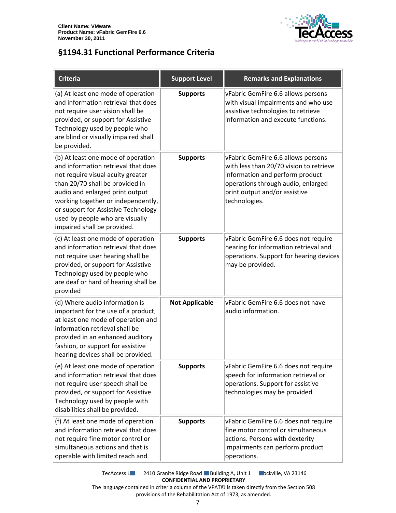

### <span id="page-6-0"></span>**§1194.31 Functional Performance Criteria**

| <b>Criteria</b>                                                                                                                                                                                                                                                                                                                     | <b>Support Level</b>  | <b>Remarks and Explanations</b>                                                                                                                                                                          |
|-------------------------------------------------------------------------------------------------------------------------------------------------------------------------------------------------------------------------------------------------------------------------------------------------------------------------------------|-----------------------|----------------------------------------------------------------------------------------------------------------------------------------------------------------------------------------------------------|
| (a) At least one mode of operation<br>and information retrieval that does<br>not require user vision shall be<br>provided, or support for Assistive<br>Technology used by people who<br>are blind or visually impaired shall<br>be provided.                                                                                        | <b>Supports</b>       | vFabric GemFire 6.6 allows persons<br>with visual impairments and who use<br>assistive technologies to retrieve<br>information and execute functions.                                                    |
| (b) At least one mode of operation<br>and information retrieval that does<br>not require visual acuity greater<br>than 20/70 shall be provided in<br>audio and enlarged print output<br>working together or independently,<br>or support for Assistive Technology<br>used by people who are visually<br>impaired shall be provided. | <b>Supports</b>       | vFabric GemFire 6.6 allows persons<br>with less than 20/70 vision to retrieve<br>information and perform product<br>operations through audio, enlarged<br>print output and/or assistive<br>technologies. |
| (c) At least one mode of operation<br>and information retrieval that does<br>not require user hearing shall be<br>provided, or support for Assistive<br>Technology used by people who<br>are deaf or hard of hearing shall be<br>provided                                                                                           | <b>Supports</b>       | vFabric GemFire 6.6 does not require<br>hearing for information retrieval and<br>operations. Support for hearing devices<br>may be provided.                                                             |
| (d) Where audio information is<br>important for the use of a product,<br>at least one mode of operation and<br>information retrieval shall be<br>provided in an enhanced auditory<br>fashion, or support for assistive<br>hearing devices shall be provided.                                                                        | <b>Not Applicable</b> | vFabric GemFire 6.6 does not have<br>audio information.                                                                                                                                                  |
| (e) At least one mode of operation<br>and information retrieval that does<br>not require user speech shall be<br>provided, or support for Assistive<br>Technology used by people with<br>disabilities shall be provided.                                                                                                            | <b>Supports</b>       | vFabric GemFire 6.6 does not require<br>speech for information retrieval or<br>operations. Support for assistive<br>technologies may be provided.                                                        |
| (f) At least one mode of operation<br>and information retrieval that does<br>not require fine motor control or<br>simultaneous actions and that is<br>operable with limited reach and                                                                                                                                               | <b>Supports</b>       | vFabric GemFire 6.6 does not require<br>fine motor control or simultaneous<br>actions. Persons with dexterity<br>impairments can perform product<br>operations.                                          |

TecAccess L**LC** 2410 Granite Ridge Road Building A, Unit 1 **Rockville, VA 23146 CONFIDENTIAL AND PROPRIETARY** The language contained in criteria column of the VPAT© is taken directly from the Section 508

provisions of the Rehabilitation Act of 1973, as amended.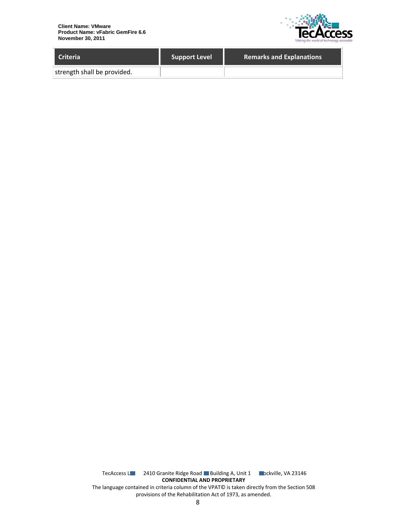

| <b>Criteria</b>             | <b>Support Level</b> | <b>Remarks and Explanations</b> |
|-----------------------------|----------------------|---------------------------------|
| strength shall be provided. |                      |                                 |